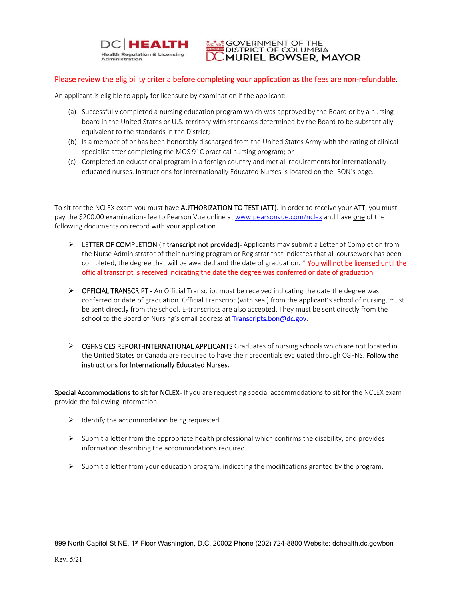

 $\frac{1}{k}$  GOVERNMENT OF THE **DISTRICT OF COLUMBIA MURIEL BOWSER, MAYOR** 

## Please review the eligibility criteria before completing your application as the fees are non-refundable.

An applicant is eligible to apply for licensure by examination if the applicant:

- (a) Successfully completed a nursing education program which was approved by the Board or by a nursing board in the United States or U.S. territory with standards determined by the Board to be substantially equivalent to the standards in the District;
- (b) Is a member of or has been honorably discharged from the United States Army with the rating of clinical specialist after completing the MOS 91C practical nursing program; or
- (c) Completed an educational program in a foreign country and met all requirements for internationally educated nurses. Instructions for Internationally Educated Nurses is located on the BON's page.

To sit for the NCLEX exam you must have AUTHORIZATION TO TEST (ATT). In order to receive your ATT, you must pay the \$200.00 examination- fee to Pearson Vue online at www.pearsonvue.com/nclex and have one of the following documents on record with your application.

- > LETTER OF COMPLETION (if transcript not provided) Applicants may submit a Letter of Completion from the Nurse Administrator of their nursing program or Registrar that indicates that all coursework has been completed, the degree that will be awarded and the date of graduation. \* You will not be licensed until the official transcript is received indicating the date the degree was conferred or date of graduation.
- ▶ OFFICIAL TRANSCRIPT An Official Transcript must be received indicating the date the degree was conferred or date of graduation. Official Transcript (with seal) from the applicant's school of nursing, must be sent directly from the school. E-transcripts are also accepted. They must be sent directly from the school to the Board of Nursing's email address at Transcripts.bon@dc.gov.
- ▶ CGFNS CES REPORT-INTERNATIONAL APPLICANTS Graduates of nursing schools which are not located in the United States or Canada are required to have their credentials evaluated through CGFNS. Follow the instructions for Internationally Educated Nurses.

Special Accommodations to sit for NCLEX- If you are requesting special accommodations to sit for the NCLEX exam provide the following information:

- $\triangleright$  Identify the accommodation being requested.
- $\triangleright$  Submit a letter from the appropriate health professional which confirms the disability, and provides information describing the accommodations required.
- $\triangleright$  Submit a letter from your education program, indicating the modifications granted by the program.

899 North Capitol St NE, 1<sup>st</sup> Floor Washington, D.C. 20002 Phone (202) 724-8800 Website: dchealth.dc.gov/bon